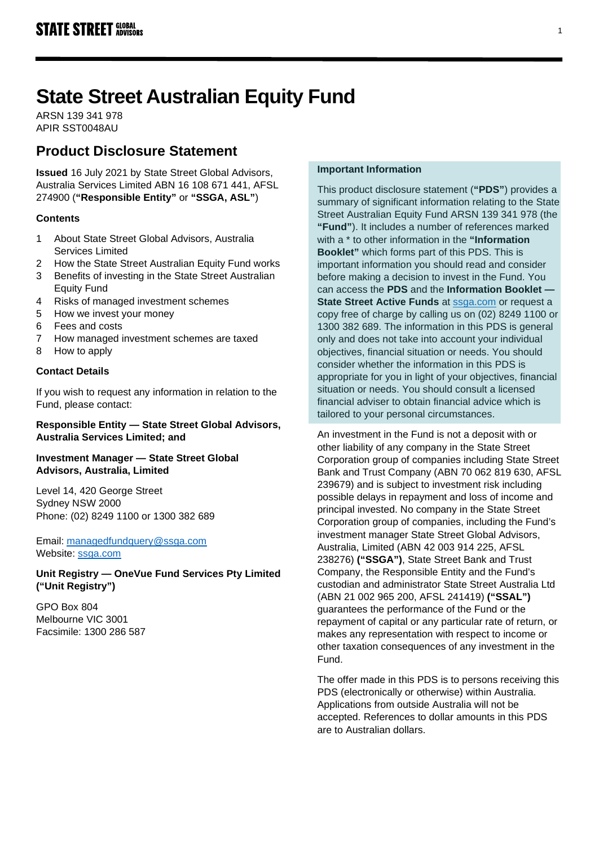# **State Street Australian Equity Fund**

ARSN 139 341 978 APIR SST0048AU

# **Product Disclosure Statement**

**Issued** 16 July 2021 by State Street Global Advisors, Australia Services Limited ABN 16 108 671 441, AFSL 274900 (**"Responsible Entity"** or **"SSGA, ASL"**)

# **Contents**

- 1 About State Street Global Advisors, Australia Services Limited
- 2 How the State Street Australian Equity Fund works
- 3 Benefits of investing in the State Street Australian Equity Fund
- 4 Risks of managed investment schemes
- 5 How we invest your money
- 6 Fees and costs
- 7 How managed investment schemes are taxed
- 8 How to apply

# **Contact Details**

If you wish to request any information in relation to the Fund, please contact:

## **Responsible Entity — State Street Global Advisors, Australia Services Limited; and**

# **Investment Manager — State Street Global Advisors, Australia, Limited**

Level 14, 420 George Street Sydney NSW 2000 Phone: (02) 8249 1100 or 1300 382 689

Email: [managedfundquery@ssga.com](file://sydganas1/shared/RE/PDS/2018/Q4%20updates/managedfundquery@ssga.com) Website: [ssga.com](http://www.ssga.com/)

**Unit Registry — OneVue Fund Services Pty Limited ("Unit Registry")**

GPO Box 804 Melbourne VIC 3001 Facsimile: 1300 286 587

# **Important Information**

This product disclosure statement (**"PDS"**) provides a summary of significant information relating to the State Street Australian Equity Fund ARSN 139 341 978 (the **"Fund"**). It includes a number of references marked with a \* to other information in the **"Information Booklet"** which forms part of this PDS. This is important information you should read and consider before making a decision to invest in the Fund. You can access the **PDS** and the **Information Booklet — State Street Active Funds** at [ssga.com](https://www.ssga.com/) or request a copy free of charge by calling us on (02) 8249 1100 or 1300 382 689. The information in this PDS is general only and does not take into account your individual objectives, financial situation or needs. You should consider whether the information in this PDS is appropriate for you in light of your objectives, financial situation or needs. You should consult a licensed financial adviser to obtain financial advice which is tailored to your personal circumstances.

An investment in the Fund is not a deposit with or other liability of any company in the State Street Corporation group of companies including State Street Bank and Trust Company (ABN 70 062 819 630, AFSL 239679) and is subject to investment risk including possible delays in repayment and loss of income and principal invested. No company in the State Street Corporation group of companies, including the Fund's investment manager State Street Global Advisors, Australia, Limited (ABN 42 003 914 225, AFSL 238276) **("SSGA")**, State Street Bank and Trust Company, the Responsible Entity and the Fund's custodian and administrator State Street Australia Ltd (ABN 21 002 965 200, AFSL 241419) **("SSAL")** guarantees the performance of the Fund or the repayment of capital or any particular rate of return, or makes any representation with respect to income or other taxation consequences of any investment in the Fund.

The offer made in this PDS is to persons receiving this PDS (electronically or otherwise) within Australia. Applications from outside Australia will not be accepted. References to dollar amounts in this PDS are to Australian dollars.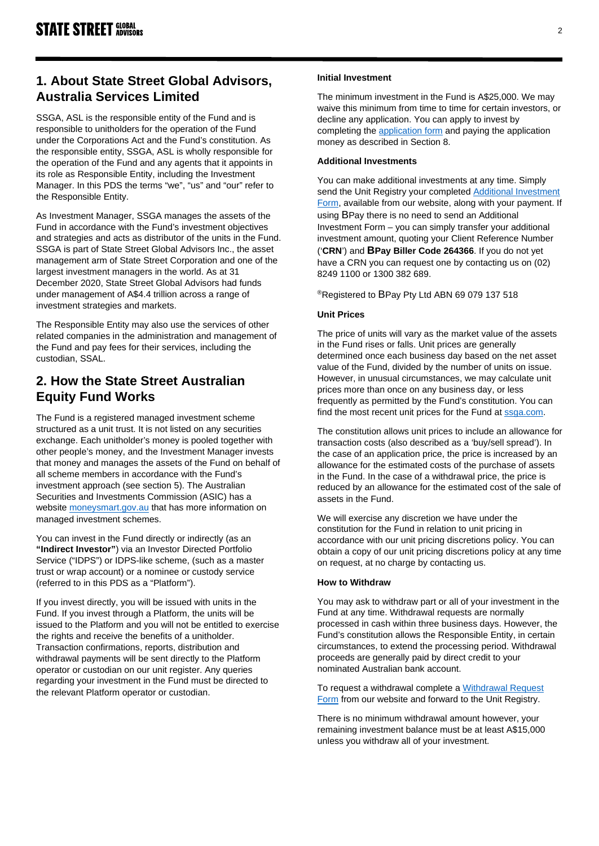# **1. About State Street Global Advisors, Australia Services Limited**

SSGA, ASL is the responsible entity of the Fund and is responsible to unitholders for the operation of the Fund under the Corporations Act and the Fund's constitution. As the responsible entity, SSGA, ASL is wholly responsible for the operation of the Fund and any agents that it appoints in its role as Responsible Entity, including the Investment Manager. In this PDS the terms "we", "us" and "our" refer to the Responsible Entity.

As Investment Manager, SSGA manages the assets of the Fund in accordance with the Fund's investment objectives and strategies and acts as distributor of the units in the Fund. SSGA is part of State Street Global Advisors Inc., the asset management arm of State Street Corporation and one of the largest investment managers in the world. As at 31 December 2020, State Street Global Advisors had funds under management of A\$4.4 trillion across a range of investment strategies and markets.

The Responsible Entity may also use the services of other related companies in the administration and management of the Fund and pay fees for their services, including the custodian, SSAL.

# **2. How the State Street Australian Equity Fund Works**

The Fund is a registered managed investment scheme structured as a unit trust. It is not listed on any securities exchange. Each unitholder's money is pooled together with other people's money, and the Investment Manager invests that money and manages the assets of the Fund on behalf of all scheme members in accordance with the Fund's investment approach (see section 5). The Australian Securities and Investments Commission (ASIC) has a website [moneysmart.gov.au](http://www.moneysmart.gov.au/) that has more information on managed investment schemes.

You can invest in the Fund directly or indirectly (as an **"Indirect Investor"**) via an Investor Directed Portfolio Service ("IDPS") or IDPS-like scheme, (such as a master trust or wrap account) or a nominee or custody service (referred to in this PDS as a "Platform").

If you invest directly, you will be issued with units in the Fund. If you invest through a Platform, the units will be issued to the Platform and you will not be entitled to exercise the rights and receive the benefits of a unitholder. Transaction confirmations, reports, distribution and withdrawal payments will be sent directly to the Platform operator or custodian on our unit register. Any queries regarding your investment in the Fund must be directed to the relevant Platform operator or custodian.

### **Initial Investment**

The minimum investment in the Fund is A\$25,000. We may waive this minimum from time to time for certain investors, or decline any application. You can apply to invest by completing th[e application form](https://www.ssga.com/au/en_gb/individual/mf/library-content/products/fund-docs/mf/apac/au/initial%20application/Initial-Application-Form-Active.pdf) and paying the application money as described in Section 8.

### **Additional Investments**

You can make additional investments at any time. Simply send the Unit Registry your completed [Additional Investment](https://www.ssga.com/au/en_gb/individual/mf/library-content/products/fund-docs/mf/apac/au/additional%20investment/Additional-Application-Form-Active.pdf)  [Form,](https://www.ssga.com/au/en_gb/individual/mf/library-content/products/fund-docs/mf/apac/au/additional%20investment/Additional-Application-Form-Active.pdf) available from our website, along with your payment. If using BPay there is no need to send an Additional Investment Form – you can simply transfer your additional investment amount, quoting your Client Reference Number ('**CRN**') and **BPay Biller Code 264366**. If you do not yet have a CRN you can request one by contacting us on (02) 8249 1100 or 1300 382 689.

®Registered to BPay Pty Ltd ABN 69 079 137 518

## **Unit Prices**

The price of units will vary as the market value of the assets in the Fund rises or falls. Unit prices are generally determined once each business day based on the net asset value of the Fund, divided by the number of units on issue. However, in unusual circumstances, we may calculate unit prices more than once on any business day, or less frequently as permitted by the Fund's constitution. You can find the most recent unit prices for the Fund at [ssga.com.](https://www.ssga.com/)

The constitution allows unit prices to include an allowance for transaction costs (also described as a 'buy/sell spread'). In the case of an application price, the price is increased by an allowance for the estimated costs of the purchase of assets in the Fund. In the case of a withdrawal price, the price is reduced by an allowance for the estimated cost of the sale of assets in the Fund.

We will exercise any discretion we have under the constitution for the Fund in relation to unit pricing in accordance with our unit pricing discretions policy. You can obtain a copy of our unit pricing discretions policy at any time on request, at no charge by contacting us.

### **How to Withdraw**

You may ask to withdraw part or all of your investment in the Fund at any time. Withdrawal requests are normally processed in cash within three business days. However, the Fund's constitution allows the Responsible Entity, in certain circumstances, to extend the processing period. Withdrawal proceeds are generally paid by direct credit to your nominated Australian bank account.

To request a withdrawal complete a [Withdrawal Request](https://www.ssga.com/au/en_gb/individual/mf/library-content/products/fund-docs/mf/apac/au/withdrawal%20request/Withdrawal-Request-Form-Active.pdf)  [Form](https://www.ssga.com/au/en_gb/individual/mf/library-content/products/fund-docs/mf/apac/au/withdrawal%20request/Withdrawal-Request-Form-Active.pdf) from our website and forward to the Unit Registry.

There is no minimum withdrawal amount however, your remaining investment balance must be at least A\$15,000 unless you withdraw all of your investment.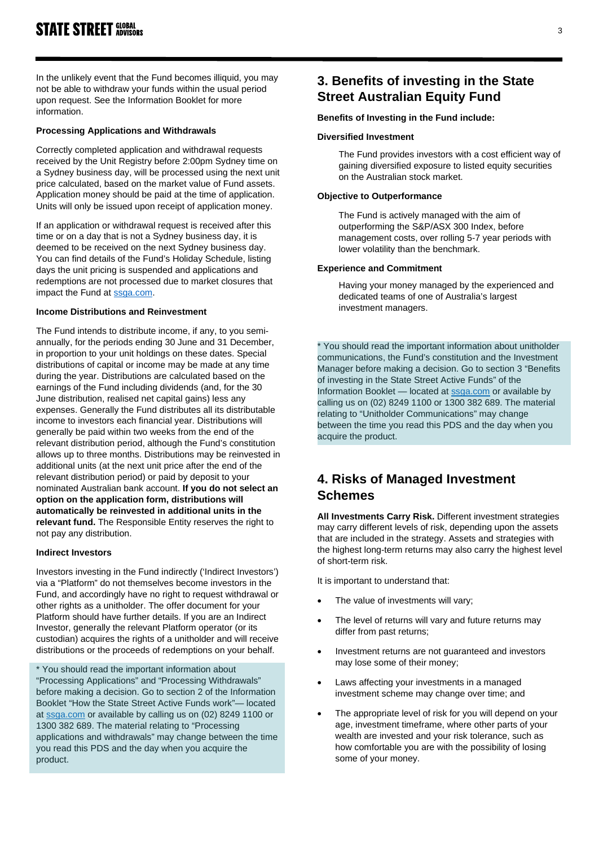In the unlikely event that the Fund becomes illiquid, you may not be able to withdraw your funds within the usual period upon request. See the Information Booklet for more information.

### **Processing Applications and Withdrawals**

Correctly completed application and withdrawal requests received by the Unit Registry before 2:00pm Sydney time on a Sydney business day, will be processed using the next unit price calculated, based on the market value of Fund assets. Application money should be paid at the time of application. Units will only be issued upon receipt of application money.

If an application or withdrawal request is received after this time or on a day that is not a Sydney business day, it is deemed to be received on the next Sydney business day. You can find details of the Fund's Holiday Schedule, listing days the unit pricing is suspended and applications and redemptions are not processed due to market closures that impact the Fund at [ssga.com.](https://www.ssga.com/)

### **Income Distributions and Reinvestment**

The Fund intends to distribute income, if any, to you semiannually, for the periods ending 30 June and 31 December, in proportion to your unit holdings on these dates. Special distributions of capital or income may be made at any time during the year. Distributions are calculated based on the earnings of the Fund including dividends (and, for the 30 June distribution, realised net capital gains) less any expenses. Generally the Fund distributes all its distributable income to investors each financial year. Distributions will generally be paid within two weeks from the end of the relevant distribution period, although the Fund's constitution allows up to three months. Distributions may be reinvested in additional units (at the next unit price after the end of the relevant distribution period) or paid by deposit to your nominated Australian bank account. **If you do not select an option on the application form, distributions will automatically be reinvested in additional units in the relevant fund.** The Responsible Entity reserves the right to not pay any distribution.

#### **Indirect Investors**

Investors investing in the Fund indirectly ('Indirect Investors') via a "Platform" do not themselves become investors in the Fund, and accordingly have no right to request withdrawal or other rights as a unitholder. The offer document for your Platform should have further details. If you are an Indirect Investor, generally the relevant Platform operator (or its custodian) acquires the rights of a unitholder and will receive distributions or the proceeds of redemptions on your behalf.

\* You should read the important information about "Processing Applications" and "Processing Withdrawals" before making a decision. Go to section 2 of the Information Booklet "How the State Street Active Funds work"— located at [ssga.com](https://www.ssga.com/) or available by calling us on (02) 8249 1100 or 1300 382 689. The material relating to "Processing applications and withdrawals" may change between the time you read this PDS and the day when you acquire the product.

# **3. Benefits of investing in the State Street Australian Equity Fund**

#### **Benefits of Investing in the Fund include:**

#### **Diversified Investment**

The Fund provides investors with a cost efficient way of gaining diversified exposure to listed equity securities on the Australian stock market.

### **Objective to Outperformance**

The Fund is actively managed with the aim of outperforming the S&P/ASX 300 Index, before management costs, over rolling 5-7 year periods with lower volatility than the benchmark.

#### **Experience and Commitment**

Having your money managed by the experienced and dedicated teams of one of Australia's largest investment managers.

\* You should read the important information about unitholder communications, the Fund's constitution and the Investment Manager before making a decision. Go to section 3 "Benefits of investing in the State Street Active Funds" of the Information Booklet — located at [ssga.com](https://www.ssga.com/) or available by calling us on (02) 8249 1100 or 1300 382 689. The material relating to "Unitholder Communications" may change between the time you read this PDS and the day when you acquire the product.

# **4. Risks of Managed Investment Schemes**

**All Investments Carry Risk.** Different investment strategies may carry different levels of risk, depending upon the assets that are included in the strategy. Assets and strategies with the highest long-term returns may also carry the highest level of short-term risk.

It is important to understand that:

- The value of investments will vary;
- The level of returns will vary and future returns may differ from past returns;
- Investment returns are not guaranteed and investors may lose some of their money;
- Laws affecting your investments in a managed investment scheme may change over time; and
- The appropriate level of risk for you will depend on your age, investment timeframe, where other parts of your wealth are invested and your risk tolerance, such as how comfortable you are with the possibility of losing some of your money.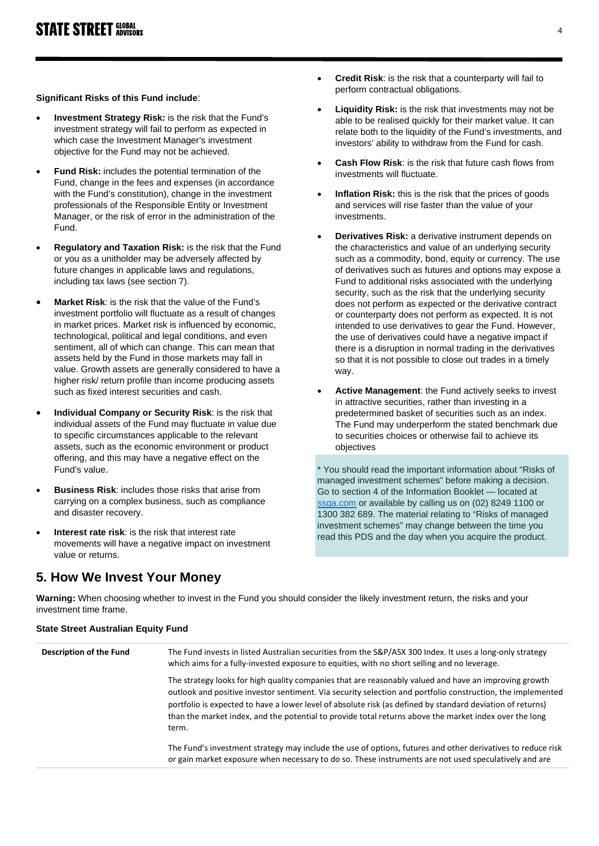### **Significant Risks of this Fund include**:

- **Investment Strategy Risk:** is the risk that the Fund's investment strategy will fail to perform as expected in which case the Investment Manager's investment objective for the Fund may not be achieved.
- **Fund Risk:** includes the potential termination of the Fund, change in the fees and expenses (in accordance with the Fund's constitution), change in the investment professionals of the Responsible Entity or Investment Manager, or the risk of error in the administration of the Fund.
- **Regulatory and Taxation Risk:** is the risk that the Fund or you as a unitholder may be adversely affected by future changes in applicable laws and regulations, including tax laws (see section 7).
- **Market Risk**: is the risk that the value of the Fund's investment portfolio will fluctuate as a result of changes in market prices. Market risk is influenced by economic, technological, political and legal conditions, and even sentiment, all of which can change. This can mean that assets held by the Fund in those markets may fall in value. Growth assets are generally considered to have a higher risk/ return profile than income producing assets such as fixed interest securities and cash.
- **Individual Company or Security Risk**: is the risk that individual assets of the Fund may fluctuate in value due to specific circumstances applicable to the relevant assets, such as the economic environment or product offering, and this may have a negative effect on the Fund's value.
- **Business Risk**: includes those risks that arise from carrying on a complex business, such as compliance and disaster recovery.
- **Interest rate risk:** is the risk that interest rate movements will have a negative impact on investment value or returns.

investment time frame.

- **Credit Risk**: is the risk that a counterparty will fail to perform contractual obligations.
- **Liquidity Risk:** is the risk that investments may not be able to be realised quickly for their market value. It can relate both to the liquidity of the Fund's investments, and investors' ability to withdraw from the Fund for cash.
- **Cash Flow Risk**: is the risk that future cash flows from investments will fluctuate.
- **Inflation Risk:** this is the risk that the prices of goods and services will rise faster than the value of your investments.
- **Derivatives Risk:** a derivative instrument depends on the characteristics and value of an underlying security such as a commodity, bond, equity or currency. The use of derivatives such as futures and options may expose a Fund to additional risks associated with the underlying security, such as the risk that the underlying security does not perform as expected or the derivative contract or counterparty does not perform as expected. It is not intended to use derivatives to gear the Fund. However, the use of derivatives could have a negative impact if there is a disruption in normal trading in the derivatives so that it is not possible to close out trades in a timely way.
- **Active Management**: the Fund actively seeks to invest in attractive securities, rather than investing in a predetermined basket of securities such as an index. The Fund may underperform the stated benchmark due to securities choices or otherwise fail to achieve its objectives

\* You should read the important information about "Risks of managed investment schemes" before making a decision. Go to section 4 of the Information Booklet — located at [ssga.com](https://www.ssga.com/) or available by calling us on (02) 8249 1100 or 1300 382 689. The material relating to "Risks of managed investment schemes" may change between the time you read this PDS and the day when you acquire the product.

# **5. How We Invest Your Money Warning:** When choosing whether to invest in the Fund you should consider the likely investment return, the risks and your

**State Street Australian Equity Fund Description of the Fund** The Fund invests in listed Australian securities from the S&P/ASX 300 Index. It uses a long-only strategy which aims for a fully-invested exposure to equities, with no short selling and no leverage. The strategy looks for high quality companies that are reasonably valued and have an improving growth outlook and positive investor sentiment. Via security selection and portfolio construction, the implemented portfolio is expected to have a lower level of absolute risk (as defined by standard deviation of returns) than the market index, and the potential to provide total returns above the market index over the long term. The Fund's investment strategy may include the use of options, futures and other derivatives to reduce risk or gain market exposure when necessary to do so. These instruments are not used speculatively and are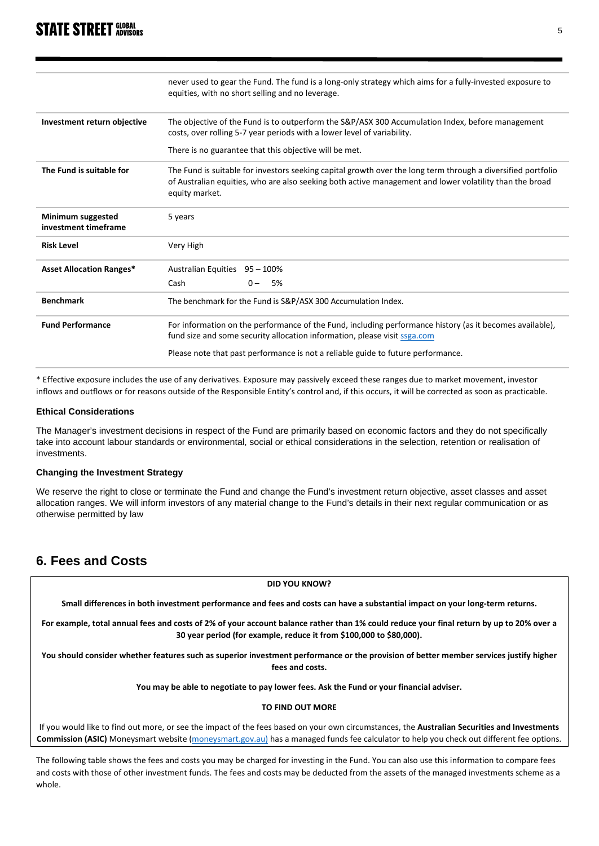# **STATE STREET GLOBAL**

|                                           | never used to gear the Fund. The fund is a long-only strategy which aims for a fully-invested exposure to<br>equities, with no short selling and no leverage.                                                                             |  |  |
|-------------------------------------------|-------------------------------------------------------------------------------------------------------------------------------------------------------------------------------------------------------------------------------------------|--|--|
|                                           |                                                                                                                                                                                                                                           |  |  |
| Investment return objective               | The objective of the Fund is to outperform the S&P/ASX 300 Accumulation Index, before management<br>costs, over rolling 5-7 year periods with a lower level of variability.                                                               |  |  |
|                                           | There is no guarantee that this objective will be met.                                                                                                                                                                                    |  |  |
| The Fund is suitable for                  | The Fund is suitable for investors seeking capital growth over the long term through a diversified portfolio<br>of Australian equities, who are also seeking both active management and lower volatility than the broad<br>equity market. |  |  |
| Minimum suggested<br>investment timeframe | 5 years                                                                                                                                                                                                                                   |  |  |
| <b>Risk Level</b>                         | Very High                                                                                                                                                                                                                                 |  |  |
| <b>Asset Allocation Ranges*</b>           | Australian Equities 95 - 100%                                                                                                                                                                                                             |  |  |
|                                           | Cash<br>$0 -$<br>5%                                                                                                                                                                                                                       |  |  |
| <b>Benchmark</b>                          | The benchmark for the Fund is S&P/ASX 300 Accumulation Index.                                                                                                                                                                             |  |  |
| <b>Fund Performance</b>                   | For information on the performance of the Fund, including performance history (as it becomes available),<br>fund size and some security allocation information, please visit ssga.com                                                     |  |  |
|                                           | Please note that past performance is not a reliable guide to future performance.                                                                                                                                                          |  |  |

\* Effective exposure includes the use of any derivatives. Exposure may passively exceed these ranges due to market movement, investor inflows and outflows or for reasons outside of the Responsible Entity's control and, if this occurs, it will be corrected as soon as practicable.

#### **Ethical Considerations**

The Manager's investment decisions in respect of the Fund are primarily based on economic factors and they do not specifically take into account labour standards or environmental, social or ethical considerations in the selection, retention or realisation of investments.

### **Changing the Investment Strategy**

We reserve the right to close or terminate the Fund and change the Fund's investment return objective, asset classes and asset allocation ranges. We will inform investors of any material change to the Fund's details in their next regular communication or as otherwise permitted by law

# **6. Fees and Costs**

**DID YOU KNOW?**

**Small differences in both investment performance and fees and costs can have a substantial impact on your long-term returns.**

**For example, total annual fees and costs of 2% of your account balance rather than 1% could reduce your final return by up to 20% over a 30 year period (for example, reduce it from \$100,000 to \$80,000).**

**You should consider whether features such as superior investment performance or the provision of better member services justify higher fees and costs.** 

**You may be able to negotiate to pay lower fees. Ask the Fund or your financial adviser.**

#### **TO FIND OUT MORE**

If you would like to find out more, or see the impact of the fees based on your own circumstances, the **Australian Securities and Investments Commission (ASIC)** Moneysmart website [\(moneysmart.gov.au\)](http://www.moneysmart.gov.au/) has a managed funds fee calculator to help you check out different fee options.

The following table shows the fees and costs you may be charged for investing in the Fund. You can also use this information to compare fees and costs with those of other investment funds. The fees and costs may be deducted from the assets of the managed investments scheme as a whole.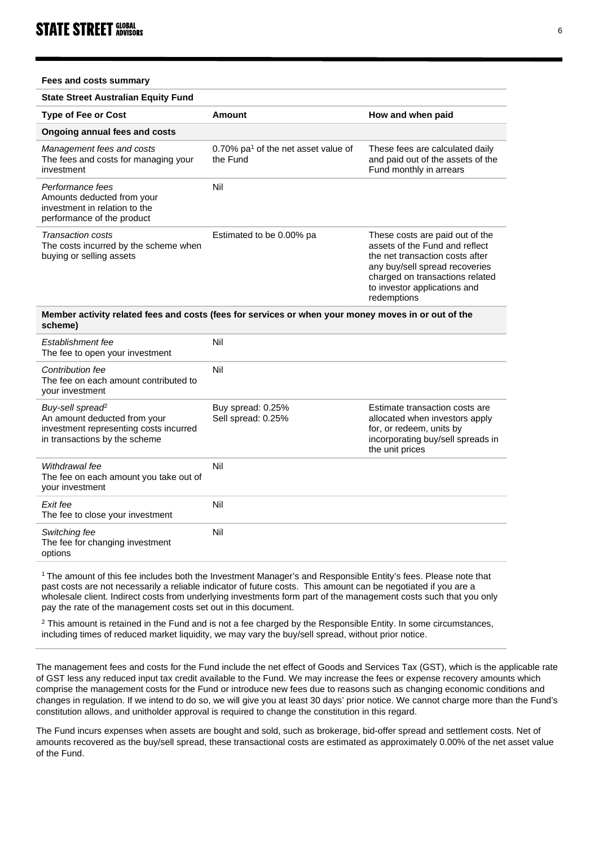**Fees and costs summary**

| <b>State Street Australian Equity Fund</b>                                                                                              |                                                             |                                                                                                                                                                                                                          |
|-----------------------------------------------------------------------------------------------------------------------------------------|-------------------------------------------------------------|--------------------------------------------------------------------------------------------------------------------------------------------------------------------------------------------------------------------------|
| <b>Type of Fee or Cost</b>                                                                                                              | Amount                                                      | How and when paid                                                                                                                                                                                                        |
| Ongoing annual fees and costs                                                                                                           |                                                             |                                                                                                                                                                                                                          |
| Management fees and costs<br>The fees and costs for managing your<br>investment                                                         | 0.70% pa <sup>1</sup> of the net asset value of<br>the Fund | These fees are calculated daily<br>and paid out of the assets of the<br>Fund monthly in arrears                                                                                                                          |
| Performance fees<br>Amounts deducted from your<br>investment in relation to the<br>performance of the product                           | Nil                                                         |                                                                                                                                                                                                                          |
| <b>Transaction costs</b><br>The costs incurred by the scheme when<br>buying or selling assets                                           | Estimated to be 0.00% pa                                    | These costs are paid out of the<br>assets of the Fund and reflect<br>the net transaction costs after<br>any buy/sell spread recoveries<br>charged on transactions related<br>to investor applications and<br>redemptions |
| Member activity related fees and costs (fees for services or when your money moves in or out of the<br>scheme)                          |                                                             |                                                                                                                                                                                                                          |
| Establishment fee<br>The fee to open your investment                                                                                    | Nil                                                         |                                                                                                                                                                                                                          |
| Contribution fee<br>The fee on each amount contributed to<br>your investment                                                            | Nil                                                         |                                                                                                                                                                                                                          |
| Buy-sell spread <sup>2</sup><br>An amount deducted from your<br>investment representing costs incurred<br>in transactions by the scheme | Buy spread: 0.25%<br>Sell spread: 0.25%                     | Estimate transaction costs are<br>allocated when investors apply<br>for, or redeem, units by<br>incorporating buy/sell spreads in<br>the unit prices                                                                     |
| Withdrawal fee<br>The fee on each amount you take out of<br>your investment                                                             | Nil                                                         |                                                                                                                                                                                                                          |
| Exit fee<br>The fee to close your investment                                                                                            | Nil                                                         |                                                                                                                                                                                                                          |
| Switching fee<br>The fee for changing investment<br>options                                                                             | Nil                                                         |                                                                                                                                                                                                                          |

1 The amount of this fee includes both the Investment Manager's and Responsible Entity's fees. Please note that past costs are not necessarily a reliable indicator of future costs. This amount can be negotiated if you are a wholesale client. Indirect costs from underlying investments form part of the management costs such that you only pay the rate of the management costs set out in this document.

<sup>2</sup> This amount is retained in the Fund and is not a fee charged by the Responsible Entity. In some circumstances, including times of reduced market liquidity, we may vary the buy/sell spread, without prior notice.

The management fees and costs for the Fund include the net effect of Goods and Services Tax (GST), which is the applicable rate of GST less any reduced input tax credit available to the Fund. We may increase the fees or expense recovery amounts which comprise the management costs for the Fund or introduce new fees due to reasons such as changing economic conditions and changes in regulation. If we intend to do so, we will give you at least 30 days' prior notice. We cannot charge more than the Fund's constitution allows, and unitholder approval is required to change the constitution in this regard.

The Fund incurs expenses when assets are bought and sold, such as brokerage, bid-offer spread and settlement costs. Net of amounts recovered as the buy/sell spread, these transactional costs are estimated as approximately 0.00% of the net asset value of the Fund.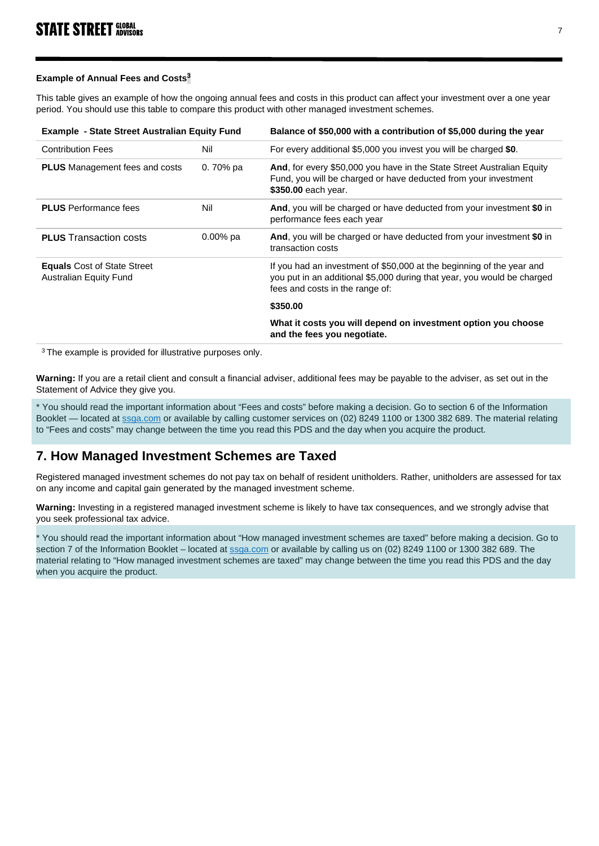## **Example of Annual Fees and Costs<sup>3</sup>**

This table gives an example of how the ongoing annual fees and costs in this product can affect your investment over a one year period. You should use this table to compare this product with other managed investment schemes.

| <b>Example - State Street Australian Equity Fund</b>                |             | Balance of \$50,000 with a contribution of \$5,000 during the year                                                                                                                  |  |
|---------------------------------------------------------------------|-------------|-------------------------------------------------------------------------------------------------------------------------------------------------------------------------------------|--|
| <b>Contribution Fees</b>                                            | Nil         | For every additional \$5,000 you invest you will be charged \$0.                                                                                                                    |  |
| <b>PLUS</b> Management fees and costs                               | 0.70% pa    | And, for every \$50,000 you have in the State Street Australian Equity<br>Fund, you will be charged or have deducted from your investment<br>\$350.00 each year.                    |  |
| <b>PLUS</b> Performance fees                                        | Nil         | And, you will be charged or have deducted from your investment \$0 in<br>performance fees each year                                                                                 |  |
| <b>PLUS</b> Transaction costs                                       | $0.00\%$ pa | And, you will be charged or have deducted from your investment \$0 in<br>transaction costs                                                                                          |  |
| <b>Equals</b> Cost of State Street<br><b>Australian Equity Fund</b> |             | If you had an investment of \$50,000 at the beginning of the year and<br>you put in an additional \$5,000 during that year, you would be charged<br>fees and costs in the range of: |  |
|                                                                     |             | \$350.00                                                                                                                                                                            |  |
|                                                                     |             | What it costs you will depend on investment option you choose<br>and the fees you negotiate.                                                                                        |  |

<sup>3</sup> The example is provided for illustrative purposes only.

**Warning:** If you are a retail client and consult a financial adviser, additional fees may be payable to the adviser, as set out in the Statement of Advice they give you.

\* You should read the important information about "Fees and costs" before making a decision. Go to section 6 of the Information Booklet — located a[t ssga.com](https://www.ssga.com/) or available by calling customer services on (02) 8249 1100 or 1300 382 689. The material relating to "Fees and costs" may change between the time you read this PDS and the day when you acquire the product.

# **7. How Managed Investment Schemes are Taxed**

Registered managed investment schemes do not pay tax on behalf of resident unitholders. Rather, unitholders are assessed for tax on any income and capital gain generated by the managed investment scheme.

**Warning:** Investing in a registered managed investment scheme is likely to have tax consequences, and we strongly advise that you seek professional tax advice.

\* You should read the important information about "How managed investment schemes are taxed" before making a decision. Go to section 7 of the Information Booklet – located a[t ssga.com](http://www.ssga.com/) or available by calling us on (02) 8249 1100 or 1300 382 689. The material relating to "How managed investment schemes are taxed" may change between the time you read this PDS and the day when you acquire the product.